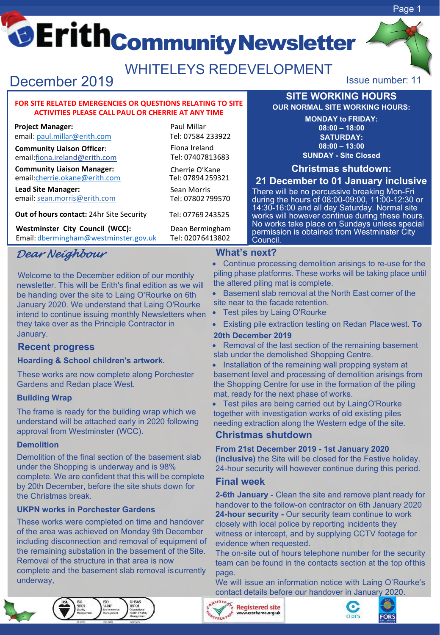# CErith<sub>CommunityNewsletter</sub>

Paul Millar Tel: 07584 233922 Fiona Ireland Tel: 07407813683 Cherrie O'Kane Tel: 07894 259321 Sean Morris Tel: 07802 799570 Tel: 07769 243525

## WHITELEYS REDEVELOPMENT

# December 2019 **ISSUE 2019** Issue number: 11

#### **FOR SITE RELATED EMERGENCIES OR QUESTIONS RELATING TO SITE ACTIVITIES PLEASE CALL PAUL OR CHERRIE AT ANY TIME**

**Project Manager:**

email: [paul.millar@erith.com](mailto:paul.millar@erith.com)

**Community Liaison Officer**: [email:fiona.ireland@erith.com](mailto:fiona.ireland@erith.com)

**Community Liaison Manager:** [email:cherrie.okane@erith.com](mailto:cherrie.okane@erith.com)

**Lead [Site Manager:](mailto:sean.morris@erith.com)** email: [sean.morris@erith.com](mailto:sean.morris@erith.com)

**Out of hours contact:** [24hr Site Security](mailto:bd@erith.com)

**Westminster City Council (WCC):** Dean Bermingham<br>
Email: dbermingham@westminster.gov.uk Tel: 02076413802 Email: [dbermingham@westminster.gov.uk](mailto:dbermingham@westminster.gov.uk)

### *Dear Neighbour*

Welcome to the December edition of our monthly newsletter. This will be Erith's final edition as we will be handing over the site to Laing O'Rourke on 6th January 2020. We understand that Laing O'Rourke intend to continue issuing monthly Newsletters when they take over as the Principle Contractor in January.

#### **Recent progress**

#### **Hoarding & School children's artwork.**

These works are now complete along Porchester Gardens and Redan place West.

#### **Building Wrap**

The frame is ready for the building wrap which we understand will be attached early in 2020 following approval from Westminster (WCC).

#### **Demolition**

Demolition of the final section of the basement slab under the Shopping is underway and is 98% complete. We are confident that this will be complete by 20th December, before the site shuts down for the Christmas break.

#### **UKPN works in Porchester Gardens**

These works were completed on time and handover of the area was achieved on Monday 9th December including disconnection and removal of equipment of the remaining substation in the basement of theSite. Removal of the structure in that area is now complete and the basement slab removal iscurrently underway,



• Continue processing demolition arisings to re-use for the piling phase platforms. These works will be taking place until the altered piling mat is complete.

• Basement slab removal at the North East corner of the site near to the facade retention.

- Test piles by Laing O'Rourke
- Existing pile extraction testing on Redan Place west. **To 20th December 2019**

Removal of the last section of the remaining basement slab under the demolished Shopping Centre.

• Installation of the remaining wall propping system at basement level and processing of demolition arisings from the Shopping Centre for use in the formation of the piling mat, ready for the next phase of works.

Test piles are being carried out by LaingO'Rourke together with investigation works of old existing piles needing extraction along the Western edge of the site.

#### **Christmas shutdown**

#### **From 21st December 2019 - 1st January 2020**

**(inclusive)** the Site will be closed for the Festive holiday. 24-hour security will however continue during this period.

#### **Final week**

**2-6th January** - Clean the site and remove plant ready for handover to the follow-on contractor on 6th January 2020 **24-hour security -** Our security team continue to work closely with local police by reporting incidents they witness or intercept, and by supplying CCTV footage for evidence when requested.

The on-site out of hours telephone number for the security team can be found in the contacts section at the top ofthis page.

We will issue an information notice with Laing O'Rourke's contact details before our handover in January 2020.









**SITE WORKING HOURS OUR NORMAL SITE WORKING HOURS: MONDAY to FRIDAY: 08:00 – 18:00 SATURDAY: 08:00 – 13:00 SUNDAY - Site Closed Christmas shutdown: 21 December to 01 January inclusive** There will be no percussive breaking Mon-Fri during the hours of 08:00-09:00, 11:00-12:30 or 14:30-16:00 and all day Saturday. Normal site works will however continue during these hours. No works take place on Sundays unless special permission is obtained from Westminster City